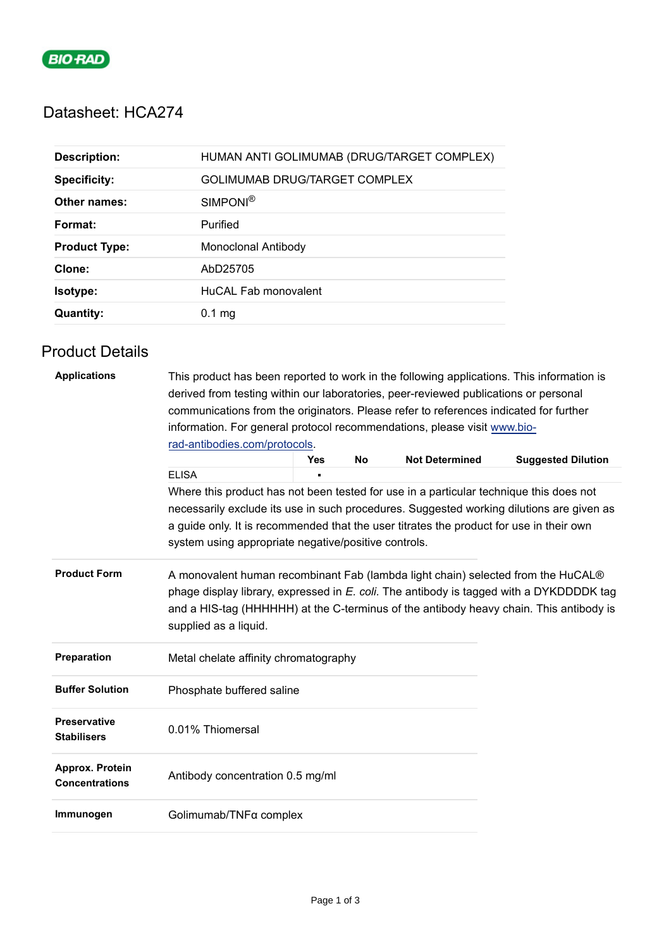

## Datasheet: HCA274

| <b>Description:</b>  | HUMAN ANTI GOLIMUMAB (DRUG/TARGET COMPLEX) |
|----------------------|--------------------------------------------|
| <b>Specificity:</b>  | <b>GOLIMUMAB DRUG/TARGET COMPLEX</b>       |
| Other names:         | SIMPONI <sup>®</sup>                       |
| Format:              | Purified                                   |
| <b>Product Type:</b> | Monoclonal Antibody                        |
| Clone:               | AbD25705                                   |
| <b>Isotype:</b>      | HuCAL Fab monovalent                       |
| <b>Quantity:</b>     | $0.1$ mg                                   |

## Product Details

| <b>Applications</b>                       | This product has been reported to work in the following applications. This information is<br>derived from testing within our laboratories, peer-reviewed publications or personal                                                                                                              |            |           |                       |                                                                                          |  |  |
|-------------------------------------------|------------------------------------------------------------------------------------------------------------------------------------------------------------------------------------------------------------------------------------------------------------------------------------------------|------------|-----------|-----------------------|------------------------------------------------------------------------------------------|--|--|
|                                           | communications from the originators. Please refer to references indicated for further                                                                                                                                                                                                          |            |           |                       |                                                                                          |  |  |
|                                           | information. For general protocol recommendations, please visit www.bio-                                                                                                                                                                                                                       |            |           |                       |                                                                                          |  |  |
|                                           | rad-antibodies.com/protocols.                                                                                                                                                                                                                                                                  |            |           |                       |                                                                                          |  |  |
|                                           |                                                                                                                                                                                                                                                                                                | <b>Yes</b> | <b>No</b> | <b>Not Determined</b> | <b>Suggested Dilution</b>                                                                |  |  |
|                                           | <b>ELISA</b>                                                                                                                                                                                                                                                                                   |            |           |                       |                                                                                          |  |  |
|                                           | Where this product has not been tested for use in a particular technique this does not                                                                                                                                                                                                         |            |           |                       |                                                                                          |  |  |
|                                           |                                                                                                                                                                                                                                                                                                |            |           |                       | necessarily exclude its use in such procedures. Suggested working dilutions are given as |  |  |
|                                           | a guide only. It is recommended that the user titrates the product for use in their own                                                                                                                                                                                                        |            |           |                       |                                                                                          |  |  |
|                                           | system using appropriate negative/positive controls.                                                                                                                                                                                                                                           |            |           |                       |                                                                                          |  |  |
| <b>Product Form</b>                       | A monovalent human recombinant Fab (lambda light chain) selected from the HuCAL®<br>phage display library, expressed in E. coli. The antibody is tagged with a DYKDDDDK tag<br>and a HIS-tag (HHHHHH) at the C-terminus of the antibody heavy chain. This antibody is<br>supplied as a liquid. |            |           |                       |                                                                                          |  |  |
| Preparation                               | Metal chelate affinity chromatography                                                                                                                                                                                                                                                          |            |           |                       |                                                                                          |  |  |
| <b>Buffer Solution</b>                    | Phosphate buffered saline                                                                                                                                                                                                                                                                      |            |           |                       |                                                                                          |  |  |
| <b>Preservative</b><br><b>Stabilisers</b> | 0.01% Thiomersal                                                                                                                                                                                                                                                                               |            |           |                       |                                                                                          |  |  |
| Approx. Protein<br><b>Concentrations</b>  | Antibody concentration 0.5 mg/ml                                                                                                                                                                                                                                                               |            |           |                       |                                                                                          |  |  |
| Immunogen                                 | Golimumab/TNFα complex                                                                                                                                                                                                                                                                         |            |           |                       |                                                                                          |  |  |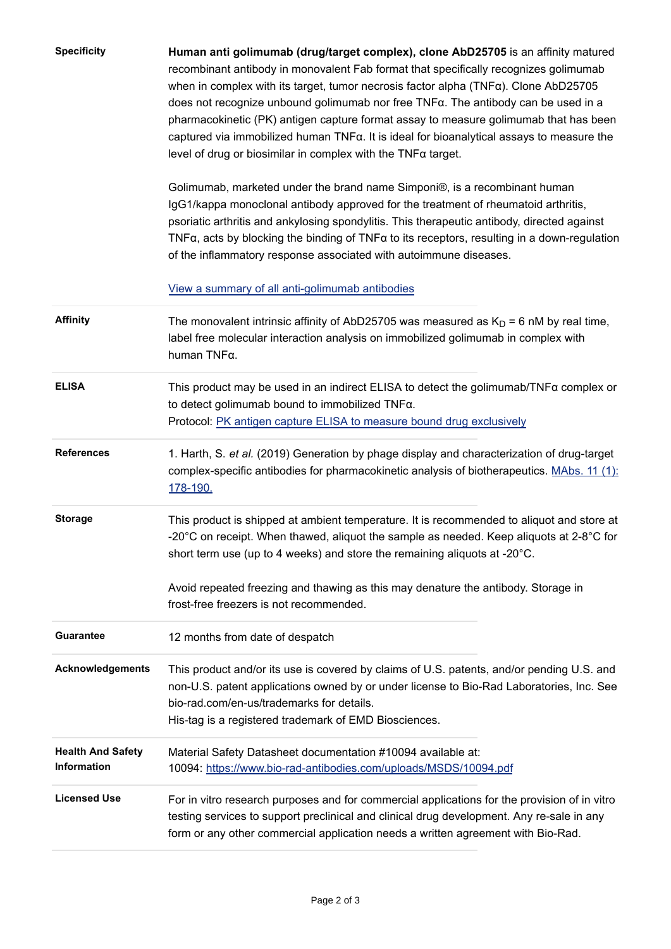| <b>Specificity</b>                      | Human anti golimumab (drug/target complex), clone AbD25705 is an affinity matured<br>recombinant antibody in monovalent Fab format that specifically recognizes golimumab<br>when in complex with its target, tumor necrosis factor alpha $(TNF\alpha)$ . Clone AbD25705<br>does not recognize unbound golimumab nor free TNFa. The antibody can be used in a<br>pharmacokinetic (PK) antigen capture format assay to measure golimumab that has been<br>captured via immobilized human TNFa. It is ideal for bioanalytical assays to measure the<br>level of drug or biosimilar in complex with the $TNF\alpha$ target. |  |  |  |  |  |
|-----------------------------------------|--------------------------------------------------------------------------------------------------------------------------------------------------------------------------------------------------------------------------------------------------------------------------------------------------------------------------------------------------------------------------------------------------------------------------------------------------------------------------------------------------------------------------------------------------------------------------------------------------------------------------|--|--|--|--|--|
|                                         | Golimumab, marketed under the brand name Simponi®, is a recombinant human<br>IgG1/kappa monoclonal antibody approved for the treatment of rheumatoid arthritis,<br>psoriatic arthritis and ankylosing spondylitis. This therapeutic antibody, directed against<br>TNF $\alpha$ , acts by blocking the binding of TNF $\alpha$ to its receptors, resulting in a down-regulation<br>of the inflammatory response associated with autoimmune diseases.                                                                                                                                                                      |  |  |  |  |  |
|                                         | View a summary of all anti-golimumab antibodies                                                                                                                                                                                                                                                                                                                                                                                                                                                                                                                                                                          |  |  |  |  |  |
| <b>Affinity</b>                         | The monovalent intrinsic affinity of AbD25705 was measured as $K_D = 6$ nM by real time,<br>label free molecular interaction analysis on immobilized golimumab in complex with<br>human TNFa.                                                                                                                                                                                                                                                                                                                                                                                                                            |  |  |  |  |  |
| <b>ELISA</b>                            | This product may be used in an indirect ELISA to detect the golimumab/ $TNF\alpha$ complex or<br>to detect golimumab bound to immobilized TNFa.<br>Protocol: PK antigen capture ELISA to measure bound drug exclusively                                                                                                                                                                                                                                                                                                                                                                                                  |  |  |  |  |  |
| <b>References</b>                       | 1. Harth, S. et al. (2019) Generation by phage display and characterization of drug-target<br>complex-specific antibodies for pharmacokinetic analysis of biotherapeutics. MAbs. 11 (1):<br>178-190.                                                                                                                                                                                                                                                                                                                                                                                                                     |  |  |  |  |  |
| <b>Storage</b>                          | This product is shipped at ambient temperature. It is recommended to aliquot and store at<br>-20 $^{\circ}$ C on receipt. When thawed, aliquot the sample as needed. Keep aliquots at 2-8 $^{\circ}$ C for<br>short term use (up to 4 weeks) and store the remaining aliquots at -20°C.                                                                                                                                                                                                                                                                                                                                  |  |  |  |  |  |
|                                         | Avoid repeated freezing and thawing as this may denature the antibody. Storage in<br>frost-free freezers is not recommended.                                                                                                                                                                                                                                                                                                                                                                                                                                                                                             |  |  |  |  |  |
| <b>Guarantee</b>                        | 12 months from date of despatch                                                                                                                                                                                                                                                                                                                                                                                                                                                                                                                                                                                          |  |  |  |  |  |
| <b>Acknowledgements</b>                 | This product and/or its use is covered by claims of U.S. patents, and/or pending U.S. and<br>non-U.S. patent applications owned by or under license to Bio-Rad Laboratories, Inc. See<br>bio-rad.com/en-us/trademarks for details.<br>His-tag is a registered trademark of EMD Biosciences.                                                                                                                                                                                                                                                                                                                              |  |  |  |  |  |
| <b>Health And Safety</b><br>Information | Material Safety Datasheet documentation #10094 available at:<br>10094: https://www.bio-rad-antibodies.com/uploads/MSDS/10094.pdf                                                                                                                                                                                                                                                                                                                                                                                                                                                                                         |  |  |  |  |  |
| <b>Licensed Use</b>                     | For in vitro research purposes and for commercial applications for the provision of in vitro<br>testing services to support preclinical and clinical drug development. Any re-sale in any<br>form or any other commercial application needs a written agreement with Bio-Rad.                                                                                                                                                                                                                                                                                                                                            |  |  |  |  |  |